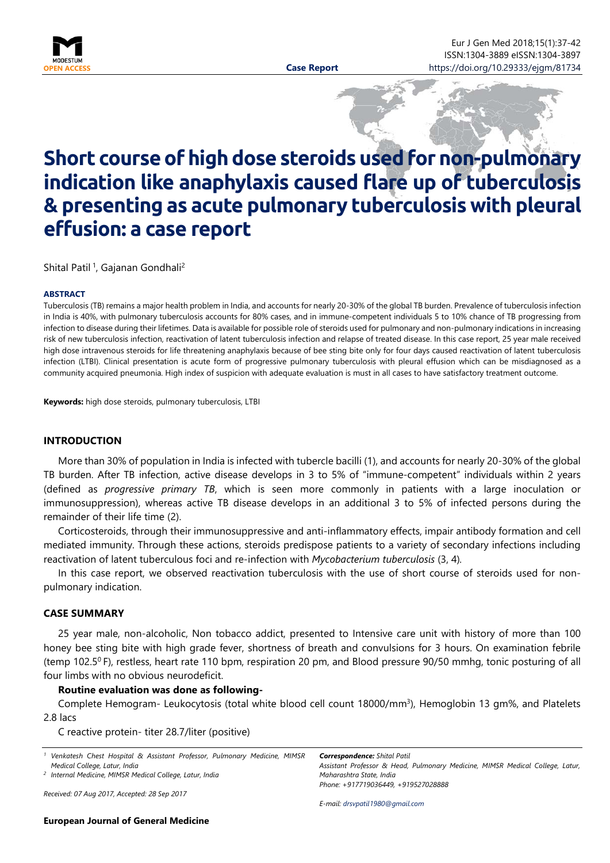

# **Short course of high dose steroids used for non-pulmonary indication like anaphylaxis caused flare up of tuberculosis & presenting as acute pulmonary tuberculosis with pleural effusion: a case report**

Shital Patil <sup>1</sup>, Gajanan Gondhali<sup>2</sup>

#### <span id="page-0-0"></span>**ABSTRACT**

Tuberculosis (TB) remains a major health problem in India, and accounts for nearly 20-30% of the global TB burden. Prevalence of tuberculosis infection in India is 40%, with pulmonary tuberculosis accounts for 80% cases, and in immune-competent individuals 5 to 10% chance of TB progressing from infection to disease during their lifetimes. Data is available for possible role of steroids used for pulmonary and non-pulmonary indications in increasing risk of new tuberculosis infection, reactivation of latent tuberculosis infection and relapse of treated disease. In this case report, 25 year male received high dose intravenous steroids for life threatening anaphylaxis because of bee sting bite only for four days caused reactivation of latent tuberculosis infection (LTBI). Clinical presentation is acute form of progressive pulmonary tuberculosis with pleural effusion which can be misdiagnosed as a community acquired pneumonia. High index of suspicion with adequate evaluation is must in all cases to have satisfactory treatment outcome.

**Keywords:** high dose steroids, pulmonary tuberculosis, LTBI

#### **INTRODUCTION**

More than 30% of population in India is infected with tubercle bacilli (1), and accounts for nearly 20-30% of the global TB burden. After TB infection, active disease develops in 3 to 5% of "immune-competent" individuals within 2 years (defined as *progressive primary TB*, which is seen more commonly in patients with a large inoculation or immunosuppression), whereas active TB disease develops in an additional 3 to 5% of infected persons during the remainder of their life time (2).

Corticosteroids, through their immunosuppressive and anti-inflammatory effects, impair antibody formation and cell mediated immunity. Through these actions, steroids predispose patients to a variety of secondary infections including reactivation of latent tuberculous foci and re-infection with *Mycobacterium tuberculosis* (3, 4)*.*

In this case report, we observed reactivation tuberculosis with the use of short course of steroids used for nonpulmonary indication.

#### **CASE SUMMARY**

25 year male, non-alcoholic, Non tobacco addict, presented to Intensive care unit with history of more than 100 honey bee sting bite with high grade fever, shortness of breath and convulsions for 3 hours. On examination febrile (temp 102.5 $^{\circ}$  F), restless, heart rate 110 bpm, respiration 20 pm, and Blood pressure 90/50 mmhg, tonic posturing of all four limbs with no obvious neurodeficit.

## **Routine evaluation was done as following-**

Complete Hemogram- Leukocytosis (total white blood cell count 18000/mm<sup>3</sup>), Hemoglobin 13 gm%, and Platelets 2.8 lacs

C reactive protein- titer 28.7/liter (positive)

|                               |  |  |  |  |  | <sup>1</sup> Venkatesh Chest Hospital & Assistant Professor, Pulmonary Medicine, MIMSR |  |
|-------------------------------|--|--|--|--|--|----------------------------------------------------------------------------------------|--|
| Medical College, Latur, India |  |  |  |  |  |                                                                                        |  |

*<sup>2</sup> Internal Medicine, MIMSR Medical College, Latur, India*

*Received: 07 Aug 2017, Accepted: 28 Sep 2017*

*E-mail: [drsvpatil1980@gmail.com](mailto:drsvpatil1980@gmail.com)*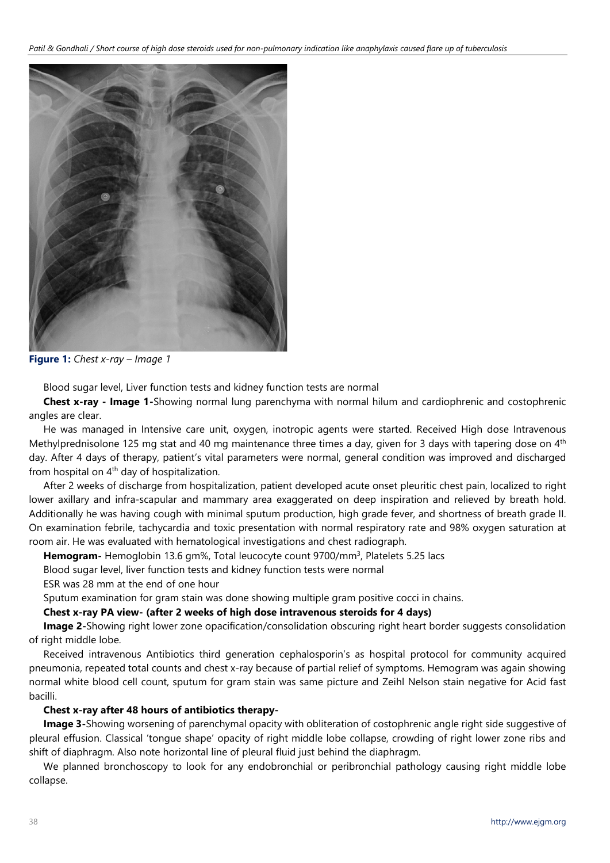

**Figure 1:** *Chest x-ray – Image 1*

Blood sugar level, Liver function tests and kidney function tests are normal

**Chest x-ray - Image 1-**Showing normal lung parenchyma with normal hilum and cardiophrenic and costophrenic angles are clear.

He was managed in Intensive care unit, oxygen, inotropic agents were started. Received High dose Intravenous Methylprednisolone 125 mg stat and 40 mg maintenance three times a day, given for 3 days with tapering dose on 4<sup>th</sup> day. After 4 days of therapy, patient's vital parameters were normal, general condition was improved and discharged from hospital on  $4<sup>th</sup>$  day of hospitalization.

After 2 weeks of discharge from hospitalization, patient developed acute onset pleuritic chest pain, localized to right lower axillary and infra-scapular and mammary area exaggerated on deep inspiration and relieved by breath hold. Additionally he was having cough with minimal sputum production, high grade fever, and shortness of breath grade II. On examination febrile, tachycardia and toxic presentation with normal respiratory rate and 98% oxygen saturation at room air. He was evaluated with hematological investigations and chest radiograph.

**Hemogram-** Hemoglobin 13.6 gm%, Total leucocyte count 9700/mm3, Platelets 5.25 lacs

Blood sugar level, liver function tests and kidney function tests were normal

ESR was 28 mm at the end of one hour

Sputum examination for gram stain was done showing multiple gram positive cocci in chains.

# **Chest x-ray PA view- (after 2 weeks of high dose intravenous steroids for 4 days)**

**Image 2-**Showing right lower zone opacification/consolidation obscuring right heart border suggests consolidation of right middle lobe.

Received intravenous Antibiotics third generation cephalosporin's as hospital protocol for community acquired pneumonia, repeated total counts and chest x-ray because of partial relief of symptoms. Hemogram was again showing normal white blood cell count, sputum for gram stain was same picture and Zeihl Nelson stain negative for Acid fast bacilli.

# **Chest x-ray after 48 hours of antibiotics therapy-**

**Image 3-**Showing worsening of parenchymal opacity with obliteration of costophrenic angle right side suggestive of pleural effusion. Classical 'tongue shape' opacity of right middle lobe collapse, crowding of right lower zone ribs and shift of diaphragm. Also note horizontal line of pleural fluid just behind the diaphragm.

We planned bronchoscopy to look for any endobronchial or peribronchial pathology causing right middle lobe collapse.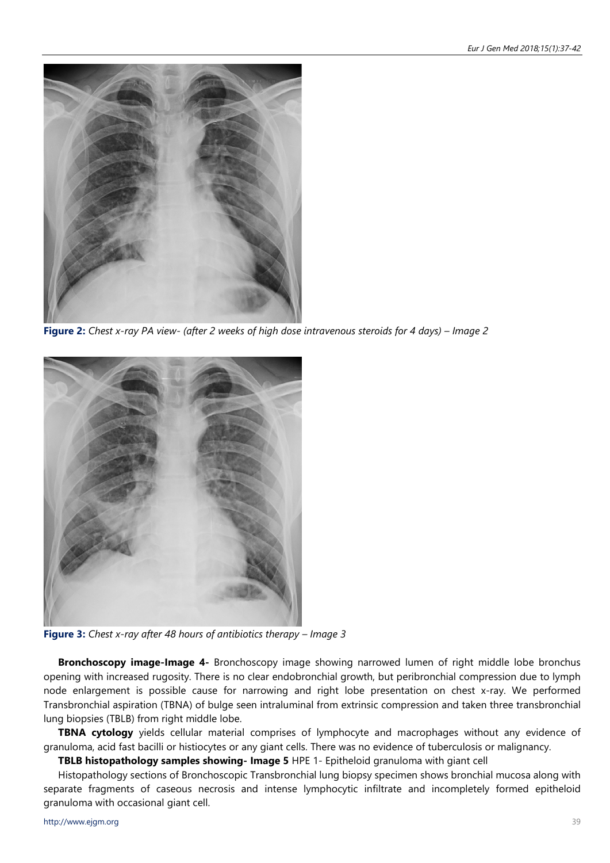

**Figure 2:** *Chest x-ray PA view- (after 2 weeks of high dose intravenous steroids for 4 days) – Image 2*



**Figure 3:** *Chest x-ray after 48 hours of antibiotics therapy – Image 3*

**Bronchoscopy image-Image 4-** Bronchoscopy image showing narrowed lumen of right middle lobe bronchus opening with increased rugosity. There is no clear endobronchial growth, but peribronchial compression due to lymph node enlargement is possible cause for narrowing and right lobe presentation on chest x-ray. We performed Transbronchial aspiration (TBNA) of bulge seen intraluminal from extrinsic compression and taken three transbronchial lung biopsies (TBLB) from right middle lobe.

**TBNA cytology** yields cellular material comprises of lymphocyte and macrophages without any evidence of granuloma, acid fast bacilli or histiocytes or any giant cells. There was no evidence of tuberculosis or malignancy.

**TBLB histopathology samples showing- Image 5** HPE 1- Epitheloid granuloma with giant cell

Histopathology sections of Bronchoscopic Transbronchial lung biopsy specimen shows bronchial mucosa along with separate fragments of caseous necrosis and intense lymphocytic infiltrate and incompletely formed epitheloid granuloma with occasional giant cell.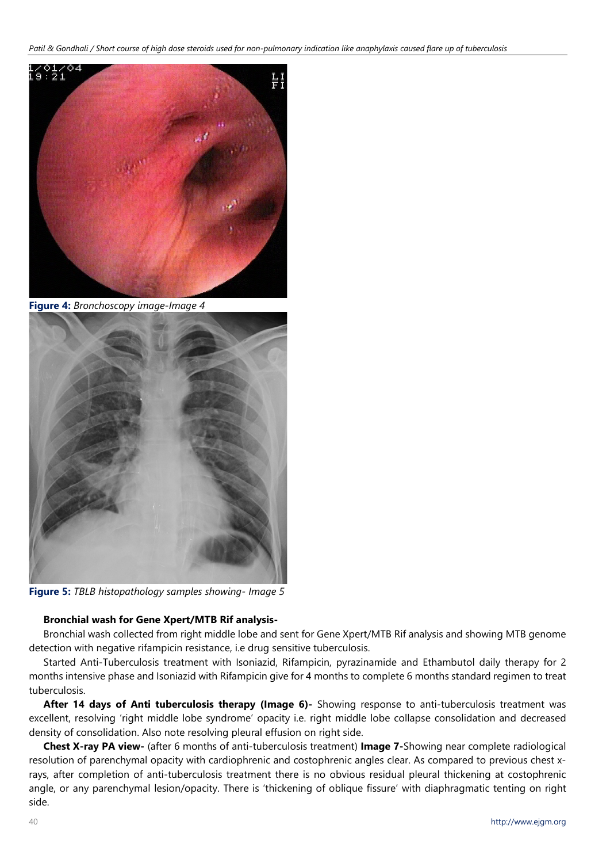*Patil & Gondhali / Short course of high dose steroids used for non-pulmonary indication like anaphylaxis caused flare up of tuberculosis* 



**Figure 4:** *Bronchoscopy image-Image 4*



**Figure 5:** *TBLB histopathology samples showing- Image 5*

# **Bronchial wash for Gene Xpert/MTB Rif analysis-**

Bronchial wash collected from right middle lobe and sent for Gene Xpert/MTB Rif analysis and showing MTB genome detection with negative rifampicin resistance, i.e drug sensitive tuberculosis.

Started Anti-Tuberculosis treatment with Isoniazid, Rifampicin, pyrazinamide and Ethambutol daily therapy for 2 months intensive phase and Isoniazid with Rifampicin give for 4 months to complete 6 months standard regimen to treat tuberculosis.

**After 14 days of Anti tuberculosis therapy (Image 6)-** Showing response to anti-tuberculosis treatment was excellent, resolving 'right middle lobe syndrome' opacity i.e. right middle lobe collapse consolidation and decreased density of consolidation. Also note resolving pleural effusion on right side.

**Chest X-ray PA view-** (after 6 months of anti-tuberculosis treatment) **Image 7-**Showing near complete radiological resolution of parenchymal opacity with cardiophrenic and costophrenic angles clear. As compared to previous chest xrays, after completion of anti-tuberculosis treatment there is no obvious residual pleural thickening at costophrenic angle, or any parenchymal lesion/opacity. There is 'thickening of oblique fissure' with diaphragmatic tenting on right side.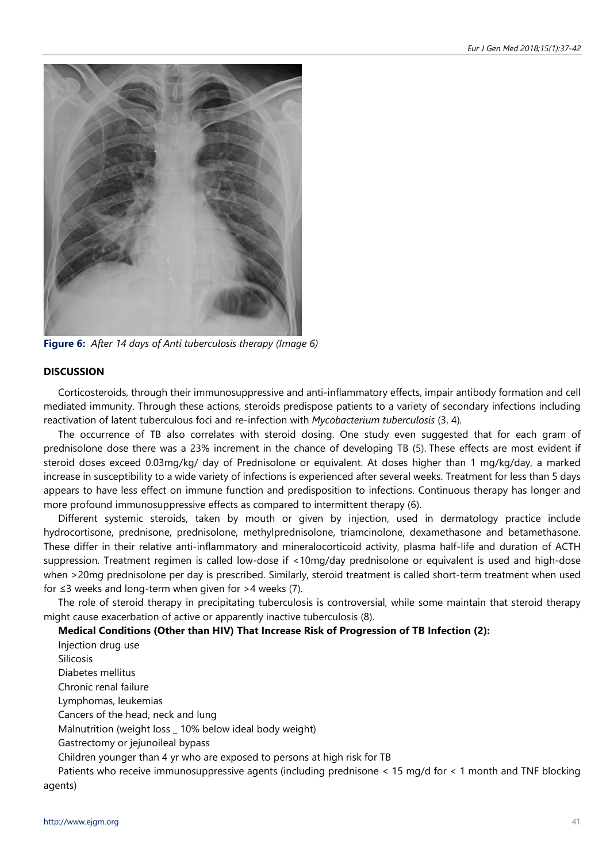

**Figure 6:** *After 14 days of Anti tuberculosis therapy (Image 6)*

# **DISCUSSION**

Corticosteroids, through their immunosuppressive and anti-inflammatory effects, impair antibody formation and cell mediated immunity. Through these actions, steroids predispose patients to a variety of secondary infections including reactivation of latent tuberculous foci and re-infection with *Mycobacterium tuberculosis* (3, 4)*.* 

The occurrence of TB also correlates with steroid dosing. One study even suggested that for each gram of prednisolone dose there was a 23% increment in the chance of developing TB (5). These effects are most evident if steroid doses exceed 0.03mg/kg/ day of Prednisolone or equivalent. At doses higher than 1 mg/kg/day, a marked increase in susceptibility to a wide variety of infections is experienced after several weeks. Treatment for less than 5 days appears to have less effect on immune function and predisposition to infections. Continuous therapy has longer and more profound immunosuppressive effects as compared to intermittent therapy (6).

Different systemic steroids, taken by mouth or given by injection, used in dermatology practice include hydrocortisone, prednisone, prednisolone, methylprednisolone, triamcinolone, dexamethasone and betamethasone. These differ in their relative anti-inflammatory and mineralocorticoid activity, plasma half-life and duration of ACTH suppression. Treatment regimen is called low-dose if <10mg/day prednisolone or equivalent is used and high-dose when >20mg prednisolone per day is prescribed. Similarly, steroid treatment is called short-term treatment when used for  $\leq$ 3 weeks and long-term when given for >4 weeks (7).

The role of steroid therapy in precipitating tuberculosis is controversial, while some maintain that steroid therapy might cause exacerbation of active or apparently inactive tuberculosis (8).

# **Medical Conditions (Other than HIV) That Increase Risk of Progression of TB Infection (2):**

Injection drug use Silicosis Diabetes mellitus Chronic renal failure Lymphomas, leukemias Cancers of the head, neck and lung Malnutrition (weight loss \_ 10% below ideal body weight) Gastrectomy or jejunoileal bypass Children younger than 4 yr who are exposed to persons at high risk for TB Patients who receive immunosuppressive agents (including prednisone < 15 mg/d for < 1 month and TNF blocking

agents)